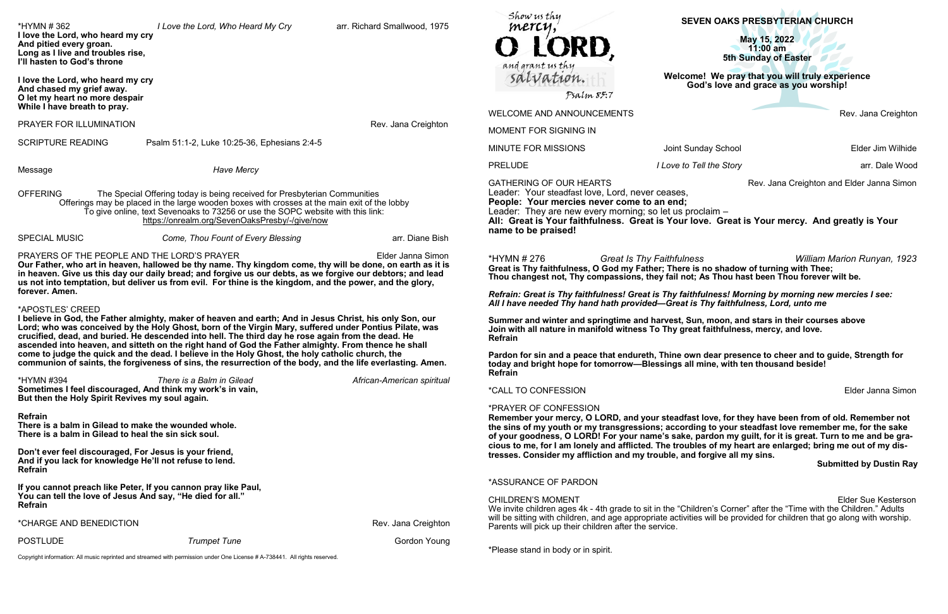Rev. Jana Creighton

Iv School **Elder Jim Wilhide** 

*Ihe Story PRELUDE <b>I LOVE <i>Internal to Tell the Story* arr. Dale Wood

Rev. Jana Creighton and Elder Janna Simon

**William Marion Runyan, 1923 Grautious is the Shadow of turning with Thee;** Thou hast been Thou forever wilt be.

**Elder Janna Simon** 

### **Submitted by Dustin Ray**

Elder Sue Kesterson n's Corner" after the "Time with the Children." Adults vill be provided for children that go along with worship.

\*Please stand in body or in spirit.

| *HYMN # 362<br>I love the Lord, who heard my cry<br>And pitied every groan.<br>Long as I live and troubles rise,<br>I'll hasten to God's throne                                                                                                                                                                                                                                                                                                                                                                                                                                                                                                                         | I Love the Lord, Who Heard My Cry                                                                                                                                                                                                                                                                                                     | arr. Richard Smallwood, 1975 | Show us thy<br>mercy,<br>LORD,<br>and grant us thy                                                                                                                                                                                                                                                                                                                                                                                                                                                                                                                     | <b>SEVEN OAKS PRESBYTERIAN CHURCH</b><br>May 15, 2022<br>$11:00$ am<br><b>5th Sunday of Easter</b> |                                  |
|-------------------------------------------------------------------------------------------------------------------------------------------------------------------------------------------------------------------------------------------------------------------------------------------------------------------------------------------------------------------------------------------------------------------------------------------------------------------------------------------------------------------------------------------------------------------------------------------------------------------------------------------------------------------------|---------------------------------------------------------------------------------------------------------------------------------------------------------------------------------------------------------------------------------------------------------------------------------------------------------------------------------------|------------------------------|------------------------------------------------------------------------------------------------------------------------------------------------------------------------------------------------------------------------------------------------------------------------------------------------------------------------------------------------------------------------------------------------------------------------------------------------------------------------------------------------------------------------------------------------------------------------|----------------------------------------------------------------------------------------------------|----------------------------------|
| I love the Lord, who heard my cry<br>And chased my grief away.<br>O let my heart no more despair                                                                                                                                                                                                                                                                                                                                                                                                                                                                                                                                                                        |                                                                                                                                                                                                                                                                                                                                       |                              | salvation.<br>Psalm 85:7                                                                                                                                                                                                                                                                                                                                                                                                                                                                                                                                               | Welcome! We pray that you will truly experience<br>God's love and grace as you worship!            |                                  |
| While I have breath to pray.                                                                                                                                                                                                                                                                                                                                                                                                                                                                                                                                                                                                                                            |                                                                                                                                                                                                                                                                                                                                       |                              | <b>WELCOME AND ANNOUNCEMENTS</b>                                                                                                                                                                                                                                                                                                                                                                                                                                                                                                                                       |                                                                                                    | Rev. Jana Creigh                 |
| PRAYER FOR ILLUMINATION                                                                                                                                                                                                                                                                                                                                                                                                                                                                                                                                                                                                                                                 |                                                                                                                                                                                                                                                                                                                                       | Rev. Jana Creighton          | MOMENT FOR SIGNING IN                                                                                                                                                                                                                                                                                                                                                                                                                                                                                                                                                  |                                                                                                    |                                  |
| <b>SCRIPTURE READING</b>                                                                                                                                                                                                                                                                                                                                                                                                                                                                                                                                                                                                                                                | Psalm 51:1-2, Luke 10:25-36, Ephesians 2:4-5                                                                                                                                                                                                                                                                                          |                              | <b>MINUTE FOR MISSIONS</b>                                                                                                                                                                                                                                                                                                                                                                                                                                                                                                                                             | Joint Sunday School                                                                                | Elder Jim Wilh                   |
| Message                                                                                                                                                                                                                                                                                                                                                                                                                                                                                                                                                                                                                                                                 | <b>Have Mercy</b>                                                                                                                                                                                                                                                                                                                     |                              | <b>PRELUDE</b>                                                                                                                                                                                                                                                                                                                                                                                                                                                                                                                                                         | I Love to Tell the Story                                                                           | arr. Dale W                      |
| <b>OFFERING</b><br>The Special Offering today is being received for Presbyterian Communities<br>Offerings may be placed in the large wooden boxes with crosses at the main exit of the lobby<br>To give online, text Sevenoaks to 73256 or use the SOPC website with this link:<br>https://onrealm.org/SevenOaksPresby/-/give/now                                                                                                                                                                                                                                                                                                                                       |                                                                                                                                                                                                                                                                                                                                       |                              | <b>GATHERING OF OUR HEARTS</b><br>Rev. Jana Creighton and Elder Janna Sin<br>Leader: Your steadfast love, Lord, never ceases,<br>People: Your mercies never come to an end;<br>Leader: They are new every morning; so let us proclaim -<br>All: Great is Your faithfulness. Great is Your love. Great is Your mercy. And greatly is Your                                                                                                                                                                                                                               |                                                                                                    |                                  |
| <b>SPECIAL MUSIC</b>                                                                                                                                                                                                                                                                                                                                                                                                                                                                                                                                                                                                                                                    | Come, Thou Fount of Every Blessing                                                                                                                                                                                                                                                                                                    | arr. Diane Bish              | name to be praised!                                                                                                                                                                                                                                                                                                                                                                                                                                                                                                                                                    |                                                                                                    |                                  |
| PRAYERS OF THE PEOPLE AND THE LORD'S PRAYER                                                                                                                                                                                                                                                                                                                                                                                                                                                                                                                                                                                                                             | Our Father, who art in heaven, hallowed be thy name. Thy kingdom come, thy will be done, on earth as it is<br>in heaven. Give us this day our daily bread; and forgive us our debts, as we forgive our debtors; and lead<br>us not into temptation, but deliver us from evil. For thine is the kingdom, and the power, and the glory, | Elder Janna Simon            | *HYMN # 276<br>Great is Thy faithfulness, O God my Father; There is no shadow of turning with Thee;<br>Thou changest not, Thy compassions, they fail not; As Thou hast been Thou forever wilt be.                                                                                                                                                                                                                                                                                                                                                                      | <b>Great Is Thy Faithfulness</b>                                                                   | <b>William Marion Runyan, 19</b> |
| forever. Amen.                                                                                                                                                                                                                                                                                                                                                                                                                                                                                                                                                                                                                                                          |                                                                                                                                                                                                                                                                                                                                       |                              | Refrain: Great is Thy faithfulness! Great is Thy faithfulness! Morning by morning new mercies I see:<br>All I have needed Thy hand hath provided—Great is Thy faithfulness, Lord, unto me                                                                                                                                                                                                                                                                                                                                                                              |                                                                                                    |                                  |
| *APOSTLES' CREED<br>I believe in God, the Father almighty, maker of heaven and earth; And in Jesus Christ, his only Son, our<br>Lord; who was conceived by the Holy Ghost, born of the Virgin Mary, suffered under Pontius Pilate, was<br>crucified, dead, and buried. He descended into hell. The third day he rose again from the dead. He<br>ascended into heaven, and sitteth on the right hand of God the Father almighty. From thence he shall<br>come to judge the quick and the dead. I believe in the Holy Ghost, the holy catholic church, the<br>communion of saints, the forgiveness of sins, the resurrection of the body, and the life everlasting. Amen. |                                                                                                                                                                                                                                                                                                                                       |                              | Summer and winter and springtime and harvest, Sun, moon, and stars in their courses above<br>Join with all nature in manifold witness To Thy great faithfulness, mercy, and love.<br><b>Refrain</b><br>Pardon for sin and a peace that endureth, Thine own dear presence to cheer and to guide, Strength for<br>today and bright hope for tomorrow-Blessings all mine, with ten thousand beside!                                                                                                                                                                       |                                                                                                    |                                  |
| *HYMN #394<br>Sometimes I feel discouraged, And think my work's in vain,                                                                                                                                                                                                                                                                                                                                                                                                                                                                                                                                                                                                | There is a Balm in Gilead                                                                                                                                                                                                                                                                                                             | African-American spiritual   | <b>Refrain</b><br>*CALL TO CONFESSION                                                                                                                                                                                                                                                                                                                                                                                                                                                                                                                                  |                                                                                                    | Elder Janna Sin                  |
| But then the Holy Spirit Revives my soul again.<br>Refrain<br>There is a balm in Gilead to make the wounded whole.<br>There is a balm in Gilead to heal the sin sick soul.<br>Don't ever feel discouraged, For Jesus is your friend,<br>And if you lack for knowledge He'll not refuse to lend.<br>Refrain                                                                                                                                                                                                                                                                                                                                                              |                                                                                                                                                                                                                                                                                                                                       |                              | *PRAYER OF CONFESSION<br>Remember your mercy, O LORD, and your steadfast love, for they have been from of old. Remember no<br>the sins of my youth or my transgressions; according to your steadfast love remember me, for the sake<br>of your goodness, O LORD! For your name's sake, pardon my guilt, for it is great. Turn to me and be gr<br>cious to me, for I am lonely and afflicted. The troubles of my heart are enlarged; bring me out of my dis<br>tresses. Consider my affliction and my trouble, and forgive all my sins.<br><b>Submitted by Dustin F</b> |                                                                                                    |                                  |
| If you cannot preach like Peter, If you cannon pray like Paul,<br>You can tell the love of Jesus And say, "He died for all."                                                                                                                                                                                                                                                                                                                                                                                                                                                                                                                                            |                                                                                                                                                                                                                                                                                                                                       |                              | *ASSURANCE OF PARDON<br><b>CHILDREN'S MOMENT</b>                                                                                                                                                                                                                                                                                                                                                                                                                                                                                                                       |                                                                                                    | <b>Elder Sue Kesters</b>         |
| Refrain                                                                                                                                                                                                                                                                                                                                                                                                                                                                                                                                                                                                                                                                 |                                                                                                                                                                                                                                                                                                                                       |                              | We invite children ages 4k - 4th grade to sit in the "Children's Corner" after the "Time with the Children." Adults                                                                                                                                                                                                                                                                                                                                                                                                                                                    |                                                                                                    |                                  |
| *CHARGE AND BENEDICTION                                                                                                                                                                                                                                                                                                                                                                                                                                                                                                                                                                                                                                                 |                                                                                                                                                                                                                                                                                                                                       | Rev. Jana Creighton          | will be sitting with children, and age appropriate activities will be provided for children that go along with worshi<br>Parents will pick up their children after the service.                                                                                                                                                                                                                                                                                                                                                                                        |                                                                                                    |                                  |
| <b>POSTLUDE</b>                                                                                                                                                                                                                                                                                                                                                                                                                                                                                                                                                                                                                                                         | <b>Trumpet Tune</b>                                                                                                                                                                                                                                                                                                                   | Gordon Young                 |                                                                                                                                                                                                                                                                                                                                                                                                                                                                                                                                                                        |                                                                                                    |                                  |

Copyright information: All music reprinted and streamed with permission under One License # A-738441. All rights reserved.